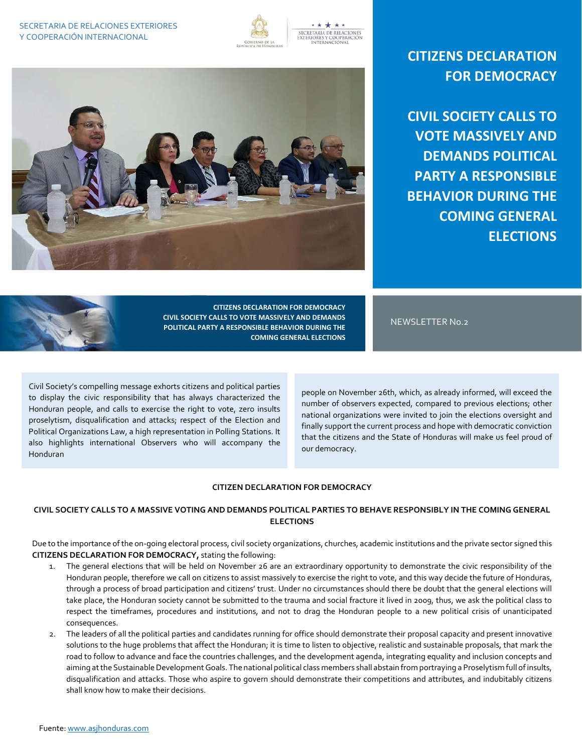

SECRETARÍA DE RELACIONES<br>EXTERIORES Y COOPERACIÓN<br>INTERNACIONAL



**CIVIL SOCIETY CALLS TO VOTE MASSIVELY AND DEMANDS POLITICAL PARTY A RESPONSIBLE BEHAVIOR DURING THE COMING GENERAL ELECTIONS**



**CITIZENS DECLARATION FOR DEMOCRACY CIVIL SOCIETY CALLS TO VOTE MASSIVELY AND DEMANDS POLITICAL PARTY A RESPONSIBLE BEHAVIOR DURING THE COMING GENERAL ELECTIONS**

NEWSLETTER No.2

Civil Society's compelling message exhorts citizens and political parties to display the civic responsibility that has always characterized the Honduran people, and calls to exercise the right to vote, zero insults proselytism, disqualification and attacks; respect of the Election and Political Organizations Law, a high representation in Polling Stations. It also highlights international Observers who will accompany the Honduran

people on November 26th, which, as already informed, will exceed the number of observers expected, compared to previous elections; other national organizations were invited to join the elections oversight and finally support the current process and hope with democratic conviction that the citizens and the State of Honduras will make us feel proud of our democracy.

## **CITIZEN DECLARATION FOR DEMOCRACY**

## **CIVIL SOCIETY CALLS TO A MASSIVE VOTING AND DEMANDS POLITICAL PARTIES TO BEHAVE RESPONSIBLY IN THE COMING GENERAL ELECTIONS**

Due to the importance of the on-going electoral process, civil society organizations, churches, academic institutions and the private sector signed this **CITIZENS DECLARATION FOR DEMOCRACY,** stating the following:

- 1. The general elections that will be held on November 26 are an extraordinary opportunity to demonstrate the civic responsibility of the Honduran people, therefore we call on citizens to assist massively to exercise the right to vote, and this way decide the future of Honduras, through a process of broad participation and citizens' trust. Under no circumstances should there be doubt that the general elections will take place, the Honduran society cannot be submitted to the trauma and social fracture it lived in 2009, thus, we ask the political class to respect the timeframes, procedures and institutions, and not to drag the Honduran people to a new political crisis of unanticipated consequences.
- 2. The leaders of all the political parties and candidates running for office should demonstrate their proposal capacity and present innovative solutions to the huge problems that affect the Honduran; it is time to listen to objective, realistic and sustainable proposals, that mark the road to follow to advance and face the countries challenges, and the development agenda, integrating equality and inclusion concepts and aiming at the Sustainable Development Goals. The national political class members shall abstain from portraying a Proselytism full of insults, disqualification and attacks. Those who aspire to govern should demonstrate their competitions and attributes, and indubitably citizens shall know how to make their decisions.